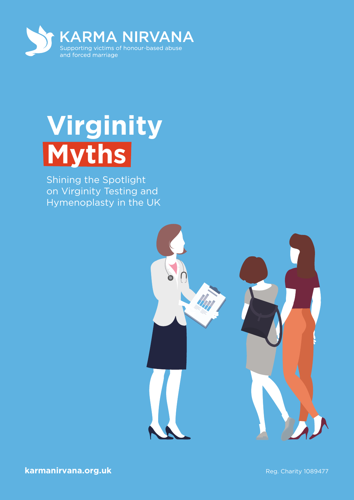

# **Virginity Myths**

Shining the Spotlight on Virginity Testing and Hymenoplasty in the UK

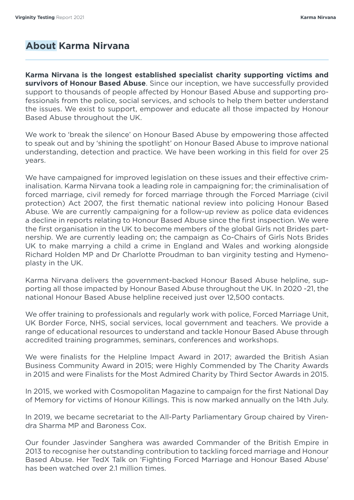# **About Karma Nirvana**

**Karma Nirvana is the longest established specialist charity supporting victims and survivors of Honour Based Abuse**. Since our inception, we have successfully provided support to thousands of people affected by Honour Based Abuse and supporting professionals from the police, social services, and schools to help them better understand the issues. We exist to support, empower and educate all those impacted by Honour Based Abuse throughout the UK.

We work to 'break the silence' on Honour Based Abuse by empowering those affected to speak out and by 'shining the spotlight' on Honour Based Abuse to improve national understanding, detection and practice. We have been working in this field for over 25 years.

We have campaigned for improved legislation on these issues and their effective criminalisation. Karma Nirvana took a leading role in campaigning for; the criminalisation of forced marriage, civil remedy for forced marriage through the Forced Marriage (civil protection) Act 2007, the first thematic national review into policing Honour Based Abuse. We are currently campaigning for a follow-up review as police data evidences a decline in reports relating to Honour Based Abuse since the first inspection. We were the first organisation in the UK to become members of the global Girls not Brides partnership. We are currently leading on; the campaign as Co-Chairs of Girls Nots Brides UK to make marrying a child a crime in England and Wales and working alongside Richard Holden MP and Dr Charlotte Proudman to ban virginity testing and Hymenoplasty in the UK.

Karma Nirvana delivers the government-backed Honour Based Abuse helpline, supporting all those impacted by Honour Based Abuse throughout the UK. In 2020 -21, the national Honour Based Abuse helpline received just over 12,500 contacts.

We offer training to professionals and regularly work with police, Forced Marriage Unit, UK Border Force, NHS, social services, local government and teachers. We provide a range of educational resources to understand and tackle Honour Based Abuse through accredited training programmes, seminars, conferences and workshops.

We were finalists for the Helpline Impact Award in 2017; awarded the British Asian Business Community Award in 2015; were Highly Commended by The Charity Awards in 2015 and were Finalists for the Most Admired Charity by Third Sector Awards in 2015.

In 2015, we worked with Cosmopolitan Magazine to campaign for the first National Day of Memory for victims of Honour Killings. This is now marked annually on the 14th July.

In 2019, we became secretariat to the All-Party Parliamentary Group chaired by Virendra Sharma MP and Baroness Cox.

Our founder Jasvinder Sanghera was awarded Commander of the British Empire in 2013 to recognise her outstanding contribution to tackling forced marriage and Honour Based Abuse. Her TedX Talk on 'Fighting Forced Marriage and Honour Based Abuse' has been watched over 2.1 million times.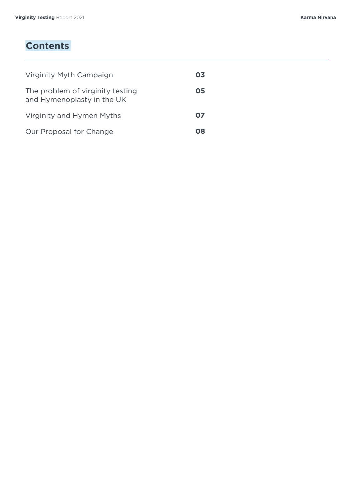# **Contents**

| Virginity Myth Campaign                                        | 03 |
|----------------------------------------------------------------|----|
| The problem of virginity testing<br>and Hymenoplasty in the UK | 05 |
| Virginity and Hymen Myths                                      | 07 |
| Our Proposal for Change                                        | O8 |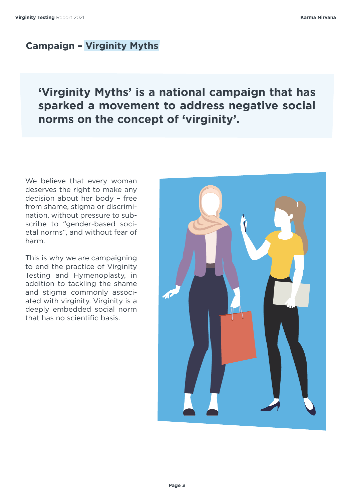# **Campaign – Virginity Myths**

# **'Virginity Myths' is a national campaign that has sparked a movement to address negative social norms on the concept of 'virginity'.**

We believe that every woman deserves the right to make any decision about her body – free from shame, stigma or discrimination, without pressure to subscribe to "gender-based societal norms", and without fear of harm.

This is why we are campaigning to end the practice of Virginity Testing and Hymenoplasty, in addition to tackling the shame and stigma commonly associated with virginity. Virginity is a deeply embedded social norm that has no scientific basis.

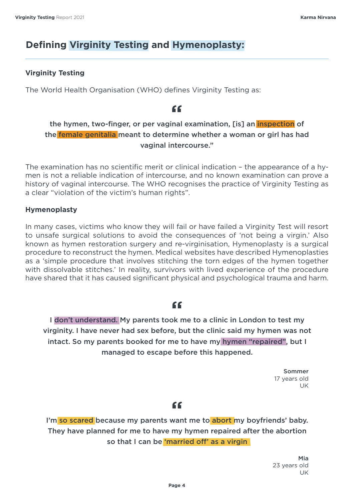# **Defining Virginity Testing and Hymenoplasty:**

#### **Virginity Testing**

The World Health Organisation (WHO) defines Virginity Testing as:

# "

#### the hymen, two-finger, or per vaginal examination, [is] an *inspection* of the female genitalia meant to determine whether a woman or girl has had vaginal intercourse."

The examination has no scientific merit or clinical indication – the appearance of a hymen is not a reliable indication of intercourse, and no known examination can prove a history of vaginal intercourse. The WHO recognises the practice of Virginity Testing as a clear "violation of the victim's human rights".

#### **Hymenoplasty**

In many cases, victims who know they will fail or have failed a Virginity Test will resort to unsafe surgical solutions to avoid the consequences of 'not being a virgin.' Also known as hymen restoration surgery and re-virginisation, Hymenoplasty is a surgical procedure to reconstruct the hymen. Medical websites have described Hymenoplasties as a 'simple procedure that involves stitching the torn edges of the hymen together with dissolvable stitches.' In reality, survivors with lived experience of the procedure have shared that it has caused significant physical and psychological trauma and harm.

#### $66$

I don't understand. My parents took me to a clinic in London to test my virginity. I have never had sex before, but the clinic said my hymen was not intact. So my parents booked for me to have my hymen "repaired", but I managed to escape before this happened.

> Sommer 17 years old UK

#### "

I'm so scared because my parents want me to abort my boyfriends' baby. They have planned for me to have my hymen repaired after the abortion so that I can be 'married off' as a virgin

> Mia 23 years old UK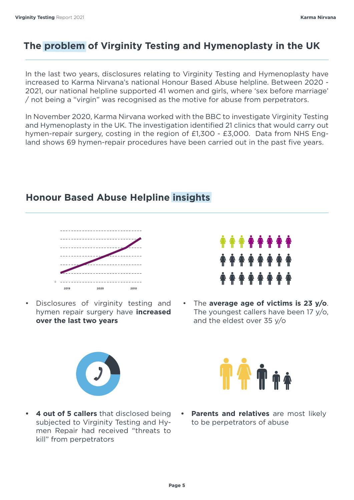# **The problem of Virginity Testing and Hymenoplasty in the UK**

In the last two years, disclosures relating to Virginity Testing and Hymenoplasty have increased to Karma Nirvana's national Honour Based Abuse helpline. Between 2020 - 2021, our national helpline supported 41 women and girls, where 'sex before marriage' / not being a "virgin" was recognised as the motive for abuse from perpetrators.

In November 2020, Karma Nirvana worked with the BBC to investigate Virginity Testing and Hymenoplasty in the UK. The investigation identified 21 clinics that would carry out hymen-repair surgery, costing in the region of £1,300 - £3,000. Data from NHS England shows 69 hymen-repair procedures have been carried out in the past five years.

# **Honour Based Abuse Helpline insights**



• Disclosures of virginity testing and hymen repair surgery have **increased over the last two years** 



• The **average age of victims is 23 y/o**. The youngest callers have been 17 y/o, and the eldest over 35 y/o





- **• 4 out of 5 callers** that disclosed being subjected to Virginity Testing and Hymen Repair had received "threats to kill" from perpetrators
- **• Parents and relatives** are most likely to be perpetrators of abuse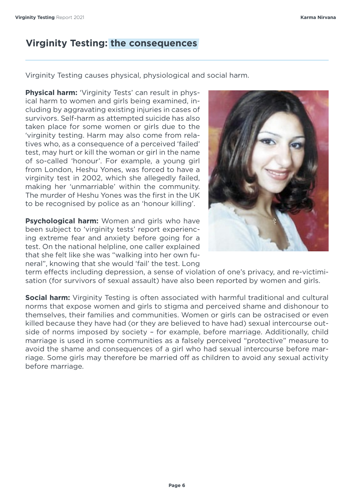# **Virginity Testing: the consequences**

Virginity Testing causes physical, physiological and social harm.

**Physical harm:** 'Virginity Tests' can result in physical harm to women and girls being examined, including by aggravating existing injuries in cases of survivors. Self-harm as attempted suicide has also taken place for some women or girls due to the 'virginity testing. Harm may also come from relatives who, as a consequence of a perceived 'failed' test, may hurt or kill the woman or girl in the name of so-called 'honour'. For example, a young girl from London, Heshu Yones, was forced to have a virginity test in 2002, which she allegedly failed, making her 'unmarriable' within the community. The murder of Heshu Yones was the first in the UK to be recognised by police as an 'honour killing'.

**Psychological harm:** Women and girls who have been subject to 'virginity tests' report experiencing extreme fear and anxiety before going for a test. On the national helpline, one caller explained that she felt like she was "walking into her own funeral", knowing that she would 'fail' the test. Long



term effects including depression, a sense of violation of one's privacy, and re-victimisation (for survivors of sexual assault) have also been reported by women and girls.

**Social harm:** Virginity Testing is often associated with harmful traditional and cultural norms that expose women and girls to stigma and perceived shame and dishonour to themselves, their families and communities. Women or girls can be ostracised or even killed because they have had (or they are believed to have had) sexual intercourse outside of norms imposed by society – for example, before marriage. Additionally, child marriage is used in some communities as a falsely perceived "protective" measure to avoid the shame and consequences of a girl who had sexual intercourse before marriage. Some girls may therefore be married off as children to avoid any sexual activity before marriage.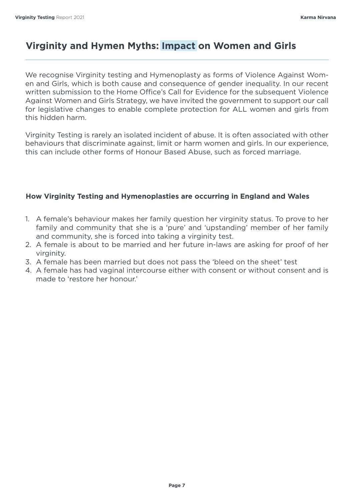# **Virginity and Hymen Myths: Impact on Women and Girls**

We recognise Virginity testing and Hymenoplasty as forms of Violence Against Women and Girls, which is both cause and consequence of gender inequality. In our recent written submission to the Home Office's Call for Evidence for the subsequent Violence Against Women and Girls Strategy, we have invited the government to support our call for legislative changes to enable complete protection for ALL women and girls from this hidden harm.

Virginity Testing is rarely an isolated incident of abuse. It is often associated with other behaviours that discriminate against, limit or harm women and girls. In our experience, this can include other forms of Honour Based Abuse, such as forced marriage.

#### **How Virginity Testing and Hymenoplasties are occurring in England and Wales**

- 1. A female's behaviour makes her family question her virginity status. To prove to her family and community that she is a 'pure' and 'upstanding' member of her family and community, she is forced into taking a virginity test.
- 2. A female is about to be married and her future in-laws are asking for proof of her virginity.
- 3. A female has been married but does not pass the 'bleed on the sheet' test
- 4. A female has had vaginal intercourse either with consent or without consent and is made to 'restore her honour.'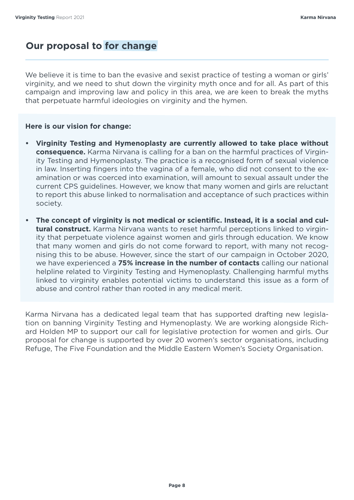# **Our proposal to for change**

We believe it is time to ban the evasive and sexist practice of testing a woman or girls' virginity, and we need to shut down the virginity myth once and for all. As part of this campaign and improving law and policy in this area, we are keen to break the myths that perpetuate harmful ideologies on virginity and the hymen.

#### **Here is our vision for change:**

- **• Virginity Testing and Hymenoplasty are currently allowed to take place without consequence.** Karma Nirvana is calling for a ban on the harmful practices of Virginity Testing and Hymenoplasty. The practice is a recognised form of sexual violence in law. Inserting fingers into the vagina of a female, who did not consent to the examination or was coerced into examination, will amount to sexual assault under the current CPS guidelines. However, we know that many women and girls are reluctant to report this abuse linked to normalisation and acceptance of such practices within society.
- **• The concept of virginity is not medical or scientific. Instead, it is a social and cultural construct.** Karma Nirvana wants to reset harmful perceptions linked to virginity that perpetuate violence against women and girls through education. We know that many women and girls do not come forward to report, with many not recognising this to be abuse. However, since the start of our campaign in October 2020, we have experienced a **75% increase in the number of contacts** calling our national helpline related to Virginity Testing and Hymenoplasty. Challenging harmful myths linked to virginity enables potential victims to understand this issue as a form of abuse and control rather than rooted in any medical merit.

Karma Nirvana has a dedicated legal team that has supported drafting new legislation on banning Virginity Testing and Hymenoplasty. We are working alongside Richard Holden MP to support our call for legislative protection for women and girls. Our proposal for change is supported by over 20 women's sector organisations, including Refuge, The Five Foundation and the Middle Eastern Women's Society Organisation.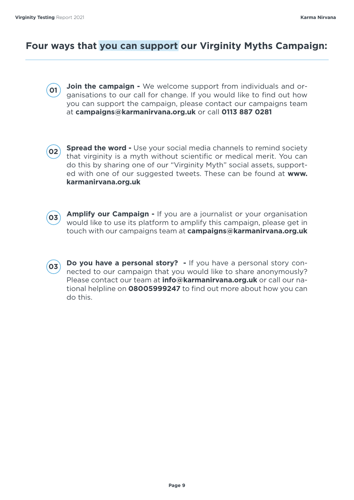### **Four ways that you can support our Virginity Myths Campaign:**

- **Join the campaign** We welcome support from individuals and organisations to our call for change. If you would like to find out how you can support the campaign, please contact our campaigns team at **campaigns@karmanirvana.org.uk** or call **0113 887 0281 01**
- **Spread the word -** Use your social media channels to remind society that virginity is a myth without scientific or medical merit. You can do this by sharing one of our "Virginity Myth" social assets, supported with one of our suggested tweets. These can be found at **www. karmanirvana.org.uk 02**
- **03**

**Amplify our Campaign -** If you are a journalist or your organisation would like to use its platform to amplify this campaign, please get in touch with our campaigns team at **campaigns@karmanirvana.org.uk** 

**Do you have a personal story? -** If you have a personal story connected to our campaign that you would like to share anonymously? Please contact our team at **info@karmanirvana.org.uk** or call our national helpline on **08005999247** to find out more about how you can do this. **03**